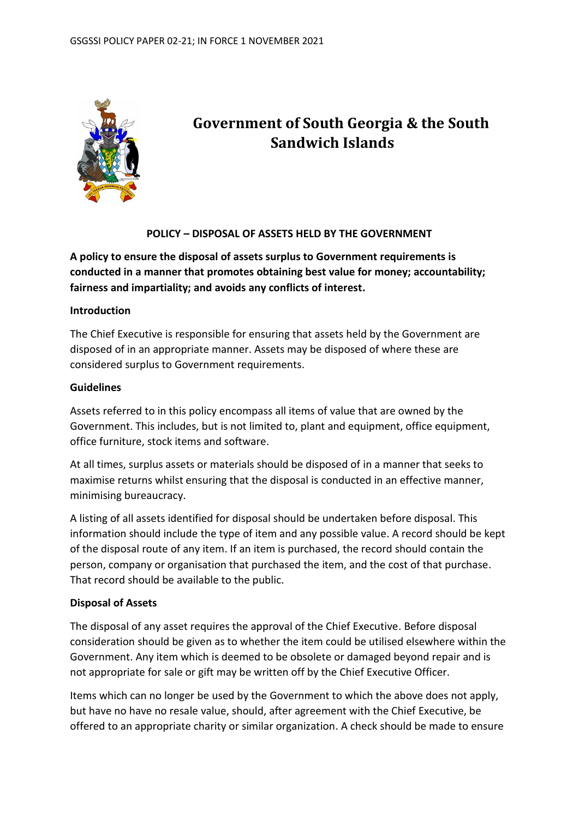

# **Government of South Georgia & the South Sandwich Islands**

### **POLICY – DISPOSAL OF ASSETS HELD BY THE GOVERNMENT**

**A policy to ensure the disposal of assets surplus to Government requirements is conducted in a manner that promotes obtaining best value for money; accountability; fairness and impartiality; and avoids any conflicts of interest.**

#### **Introduction**

The Chief Executive is responsible for ensuring that assets held by the Government are disposed of in an appropriate manner. Assets may be disposed of where these are considered surplus to Government requirements.

#### **Guidelines**

Assets referred to in this policy encompass all items of value that are owned by the Government. This includes, but is not limited to, plant and equipment, office equipment, office furniture, stock items and software.

At all times, surplus assets or materials should be disposed of in a manner that seeks to maximise returns whilst ensuring that the disposal is conducted in an effective manner, minimising bureaucracy.

A listing of all assets identified for disposal should be undertaken before disposal. This information should include the type of item and any possible value. A record should be kept of the disposal route of any item. If an item is purchased, the record should contain the person, company or organisation that purchased the item, and the cost of that purchase. That record should be available to the public.

#### **Disposal of Assets**

The disposal of any asset requires the approval of the Chief Executive. Before disposal consideration should be given as to whether the item could be utilised elsewhere within the Government. Any item which is deemed to be obsolete or damaged beyond repair and is not appropriate for sale or gift may be written off by the Chief Executive Officer.

Items which can no longer be used by the Government to which the above does not apply, but have no have no resale value, should, after agreement with the Chief Executive, be offered to an appropriate charity or similar organization. A check should be made to ensure